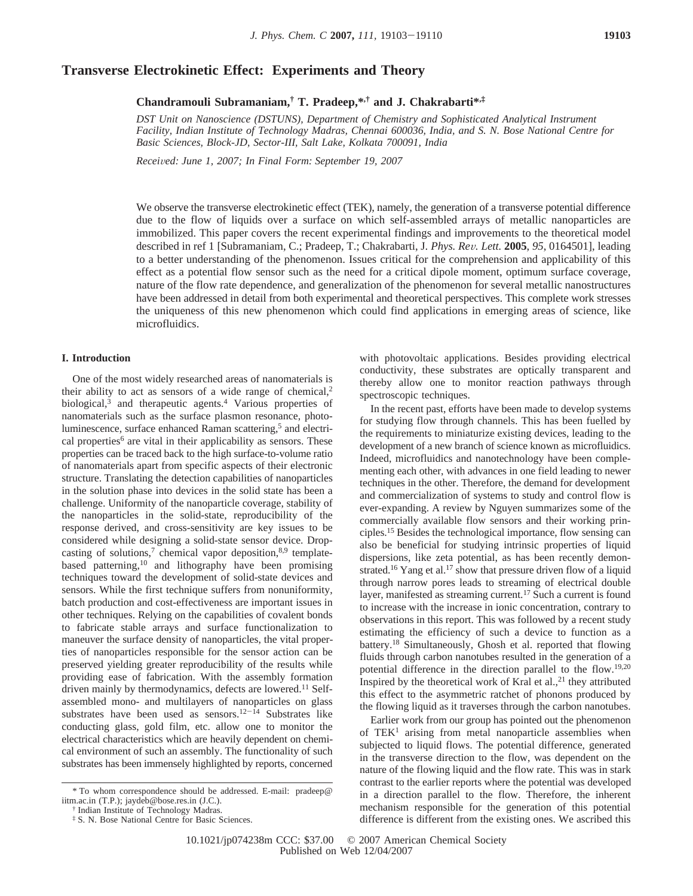# **Transverse Electrokinetic Effect: Experiments and Theory**

# **Chandramouli Subramaniam,† T. Pradeep,\*,† and J. Chakrabarti\*,‡**

*DST Unit on Nanoscience (DSTUNS), Department of Chemistry and Sophisticated Analytical Instrument Facility, Indian Institute of Technology Madras, Chennai 600036, India, and S. N. Bose National Centre for Basic Sciences, Block-JD, Sector-III, Salt Lake, Kolkata 700091, India*

*Recei*V*ed: June 1, 2007; In Final Form: September 19, 2007*

We observe the transverse electrokinetic effect (TEK), namely, the generation of a transverse potential difference due to the flow of liquids over a surface on which self-assembled arrays of metallic nanoparticles are immobilized. This paper covers the recent experimental findings and improvements to the theoretical model described in ref 1 [Subramaniam, C.; Pradeep, T.; Chakrabarti, J. *Phys. Re*V*. Lett.* **<sup>2005</sup>**, *<sup>95</sup>*, 0164501], leading to a better understanding of the phenomenon. Issues critical for the comprehension and applicability of this effect as a potential flow sensor such as the need for a critical dipole moment, optimum surface coverage, nature of the flow rate dependence, and generalization of the phenomenon for several metallic nanostructures have been addressed in detail from both experimental and theoretical perspectives. This complete work stresses the uniqueness of this new phenomenon which could find applications in emerging areas of science, like microfluidics.

#### **I. Introduction**

One of the most widely researched areas of nanomaterials is their ability to act as sensors of a wide range of chemical,<sup>2</sup> biological,<sup>3</sup> and therapeutic agents.<sup>4</sup> Various properties of nanomaterials such as the surface plasmon resonance, photoluminescence, surface enhanced Raman scattering,5 and electrical properties<sup>6</sup> are vital in their applicability as sensors. These properties can be traced back to the high surface-to-volume ratio of nanomaterials apart from specific aspects of their electronic structure. Translating the detection capabilities of nanoparticles in the solution phase into devices in the solid state has been a challenge. Uniformity of the nanoparticle coverage, stability of the nanoparticles in the solid-state, reproducibility of the response derived, and cross-sensitivity are key issues to be considered while designing a solid-state sensor device. Dropcasting of solutions,<sup>7</sup> chemical vapor deposition, $8.9$  templatebased patterning,10 and lithography have been promising techniques toward the development of solid-state devices and sensors. While the first technique suffers from nonuniformity, batch production and cost-effectiveness are important issues in other techniques. Relying on the capabilities of covalent bonds to fabricate stable arrays and surface functionalization to maneuver the surface density of nanoparticles, the vital properties of nanoparticles responsible for the sensor action can be preserved yielding greater reproducibility of the results while providing ease of fabrication. With the assembly formation driven mainly by thermodynamics, defects are lowered.<sup>11</sup> Selfassembled mono- and multilayers of nanoparticles on glass substrates have been used as sensors.<sup>12-14</sup> Substrates like conducting glass, gold film, etc. allow one to monitor the electrical characteristics which are heavily dependent on chemical environment of such an assembly. The functionality of such substrates has been immensely highlighted by reports, concerned

with photovoltaic applications. Besides providing electrical conductivity, these substrates are optically transparent and thereby allow one to monitor reaction pathways through spectroscopic techniques.

In the recent past, efforts have been made to develop systems for studying flow through channels. This has been fuelled by the requirements to miniaturize existing devices, leading to the development of a new branch of science known as microfluidics. Indeed, microfluidics and nanotechnology have been complementing each other, with advances in one field leading to newer techniques in the other. Therefore, the demand for development and commercialization of systems to study and control flow is ever-expanding. A review by Nguyen summarizes some of the commercially available flow sensors and their working principles.15 Besides the technological importance, flow sensing can also be beneficial for studying intrinsic properties of liquid dispersions, like zeta potential, as has been recently demonstrated.<sup>16</sup> Yang et al.<sup>17</sup> show that pressure driven flow of a liquid through narrow pores leads to streaming of electrical double layer, manifested as streaming current.<sup>17</sup> Such a current is found to increase with the increase in ionic concentration, contrary to observations in this report. This was followed by a recent study estimating the efficiency of such a device to function as a battery.18 Simultaneously, Ghosh et al. reported that flowing fluids through carbon nanotubes resulted in the generation of a potential difference in the direction parallel to the flow.19,20 Inspired by the theoretical work of Kral et al., $^{21}$  they attributed this effect to the asymmetric ratchet of phonons produced by the flowing liquid as it traverses through the carbon nanotubes.

Earlier work from our group has pointed out the phenomenon of TEK<sup>1</sup> arising from metal nanoparticle assemblies when subjected to liquid flows. The potential difference, generated in the transverse direction to the flow, was dependent on the nature of the flowing liquid and the flow rate. This was in stark contrast to the earlier reports where the potential was developed in a direction parallel to the flow. Therefore, the inherent mechanism responsible for the generation of this potential difference is different from the existing ones. We ascribed this

<sup>\*</sup> To whom correspondence should be addressed. E-mail: pradeep@ iitm.ac.in (T.P.); jaydeb@bose.res.in (J.C.).

<sup>†</sup> Indian Institute of Technology Madras.

<sup>‡</sup> S. N. Bose National Centre for Basic Sciences.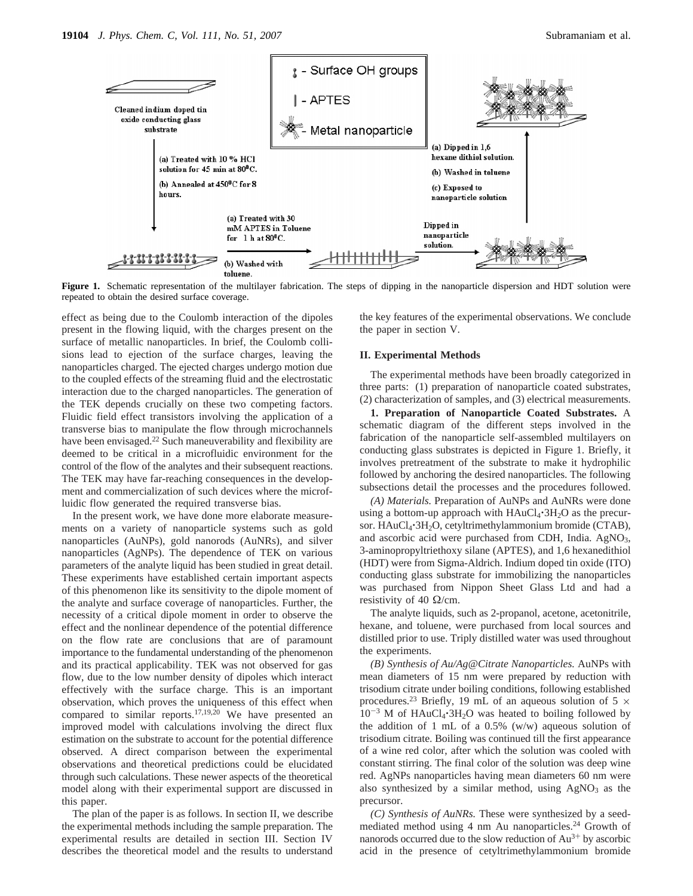

Figure 1. Schematic representation of the multilayer fabrication. The steps of dipping in the nanoparticle dispersion and HDT solution were repeated to obtain the desired surface coverage.

effect as being due to the Coulomb interaction of the dipoles present in the flowing liquid, with the charges present on the surface of metallic nanoparticles. In brief, the Coulomb collisions lead to ejection of the surface charges, leaving the nanoparticles charged. The ejected charges undergo motion due to the coupled effects of the streaming fluid and the electrostatic interaction due to the charged nanoparticles. The generation of the TEK depends crucially on these two competing factors. Fluidic field effect transistors involving the application of a transverse bias to manipulate the flow through microchannels have been envisaged.<sup>22</sup> Such maneuverability and flexibility are deemed to be critical in a microfluidic environment for the control of the flow of the analytes and their subsequent reactions. The TEK may have far-reaching consequences in the development and commercialization of such devices where the microfluidic flow generated the required transverse bias.

In the present work, we have done more elaborate measurements on a variety of nanoparticle systems such as gold nanoparticles (AuNPs), gold nanorods (AuNRs), and silver nanoparticles (AgNPs). The dependence of TEK on various parameters of the analyte liquid has been studied in great detail. These experiments have established certain important aspects of this phenomenon like its sensitivity to the dipole moment of the analyte and surface coverage of nanoparticles. Further, the necessity of a critical dipole moment in order to observe the effect and the nonlinear dependence of the potential difference on the flow rate are conclusions that are of paramount importance to the fundamental understanding of the phenomenon and its practical applicability. TEK was not observed for gas flow, due to the low number density of dipoles which interact effectively with the surface charge. This is an important observation, which proves the uniqueness of this effect when compared to similar reports.17,19,20 We have presented an improved model with calculations involving the direct flux estimation on the substrate to account for the potential difference observed. A direct comparison between the experimental observations and theoretical predictions could be elucidated through such calculations. These newer aspects of the theoretical model along with their experimental support are discussed in this paper.

The plan of the paper is as follows. In section II, we describe the experimental methods including the sample preparation. The experimental results are detailed in section III. Section IV describes the theoretical model and the results to understand

the key features of the experimental observations. We conclude the paper in section V.

## **II. Experimental Methods**

The experimental methods have been broadly categorized in three parts: (1) preparation of nanoparticle coated substrates, (2) characterization of samples, and (3) electrical measurements.

**1. Preparation of Nanoparticle Coated Substrates.** A schematic diagram of the different steps involved in the fabrication of the nanoparticle self-assembled multilayers on conducting glass substrates is depicted in Figure 1. Briefly, it involves pretreatment of the substrate to make it hydrophilic followed by anchoring the desired nanoparticles. The following subsections detail the processes and the procedures followed.

*(A) Materials.* Preparation of AuNPs and AuNRs were done using a bottom-up approach with  $HAuCl<sub>4</sub>·3H<sub>2</sub>O$  as the precursor. HAuCl<sub>4</sub><sup>•</sup>3H<sub>2</sub>O, cetyltrimethylammonium bromide (CTAB), and ascorbic acid were purchased from CDH, India. AgNO<sub>3</sub>, 3-aminopropyltriethoxy silane (APTES), and 1,6 hexanedithiol (HDT) were from Sigma-Aldrich. Indium doped tin oxide (ITO) conducting glass substrate for immobilizing the nanoparticles was purchased from Nippon Sheet Glass Ltd and had a resistivity of 40  $\Omega$ /cm.

The analyte liquids, such as 2-propanol, acetone, acetonitrile, hexane, and toluene, were purchased from local sources and distilled prior to use. Triply distilled water was used throughout the experiments.

*(B) Synthesis of Au/Ag@Citrate Nanoparticles.* AuNPs with mean diameters of 15 nm were prepared by reduction with trisodium citrate under boiling conditions, following established procedures.<sup>23</sup> Briefly, 19 mL of an aqueous solution of 5  $\times$  $10^{-3}$  M of HAuCl<sub>4</sub> $\cdot$ 3H<sub>2</sub>O was heated to boiling followed by the addition of 1 mL of a  $0.5\%$  (w/w) aqueous solution of trisodium citrate. Boiling was continued till the first appearance of a wine red color, after which the solution was cooled with constant stirring. The final color of the solution was deep wine red. AgNPs nanoparticles having mean diameters 60 nm were also synthesized by a similar method, using  $AgNO<sub>3</sub>$  as the precursor.

*(C) Synthesis of AuNRs.* These were synthesized by a seedmediated method using 4 nm Au nanoparticles.<sup>24</sup> Growth of nanorods occurred due to the slow reduction of  $Au^{3+}$  by ascorbic acid in the presence of cetyltrimethylammonium bromide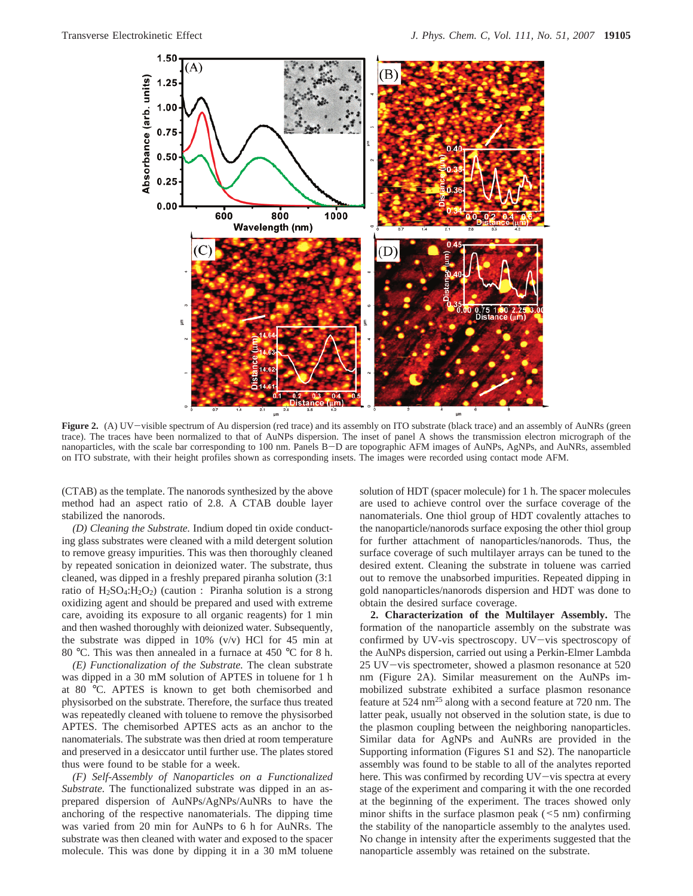

Figure 2. (A) UV-visible spectrum of Au dispersion (red trace) and its assembly on ITO substrate (black trace) and an assembly of AuNRs (green trace). The traces have been normalized to that of AuNPs dispersion. The inset of panel A shows the transmission electron micrograph of the nanoparticles, with the scale bar corresponding to 100 nm. Panels B-D are topographic AFM images of AuNPs, AgNPs, and AuNRs, assembled on ITO substrate, with their height profiles shown as corresponding insets. The images were recorded using contact mode AFM.

(CTAB) as the template. The nanorods synthesized by the above method had an aspect ratio of 2.8. A CTAB double layer stabilized the nanorods.

*(D) Cleaning the Substrate.* Indium doped tin oxide conducting glass substrates were cleaned with a mild detergent solution to remove greasy impurities. This was then thoroughly cleaned by repeated sonication in deionized water. The substrate, thus cleaned, was dipped in a freshly prepared piranha solution (3:1 ratio of  $H_2SO_4$ : $H_2O_2$ ) (caution : Piranha solution is a strong oxidizing agent and should be prepared and used with extreme care, avoiding its exposure to all organic reagents) for 1 min and then washed thoroughly with deionized water. Subsequently, the substrate was dipped in 10% (v/v) HCl for 45 min at 80 °C. This was then annealed in a furnace at 450 °C for 8 h.

*(E) Functionalization of the Substrate.* The clean substrate was dipped in a 30 mM solution of APTES in toluene for 1 h at 80 °C. APTES is known to get both chemisorbed and physisorbed on the substrate. Therefore, the surface thus treated was repeatedly cleaned with toluene to remove the physisorbed APTES. The chemisorbed APTES acts as an anchor to the nanomaterials. The substrate was then dried at room temperature and preserved in a desiccator until further use. The plates stored thus were found to be stable for a week.

*(F) Self-Assembly of Nanoparticles on a Functionalized Substrate.* The functionalized substrate was dipped in an asprepared dispersion of AuNPs/AgNPs/AuNRs to have the anchoring of the respective nanomaterials. The dipping time was varied from 20 min for AuNPs to 6 h for AuNRs. The substrate was then cleaned with water and exposed to the spacer molecule. This was done by dipping it in a 30 mM toluene

solution of HDT (spacer molecule) for 1 h. The spacer molecules are used to achieve control over the surface coverage of the nanomaterials. One thiol group of HDT covalently attaches to the nanoparticle/nanorods surface exposing the other thiol group for further attachment of nanoparticles/nanorods. Thus, the surface coverage of such multilayer arrays can be tuned to the desired extent. Cleaning the substrate in toluene was carried out to remove the unabsorbed impurities. Repeated dipping in gold nanoparticles/nanorods dispersion and HDT was done to obtain the desired surface coverage.

**2. Characterization of the Multilayer Assembly.** The formation of the nanoparticle assembly on the substrate was confirmed by UV-vis spectroscopy. UV-vis spectroscopy of the AuNPs dispersion, carried out using a Perkin-Elmer Lambda 25 UV-vis spectrometer, showed a plasmon resonance at 520 nm (Figure 2A). Similar measurement on the AuNPs immobilized substrate exhibited a surface plasmon resonance feature at 524 nm<sup>25</sup> along with a second feature at 720 nm. The latter peak, usually not observed in the solution state, is due to the plasmon coupling between the neighboring nanoparticles. Similar data for AgNPs and AuNRs are provided in the Supporting information (Figures S1 and S2). The nanoparticle assembly was found to be stable to all of the analytes reported here. This was confirmed by recording UV-vis spectra at every stage of the experiment and comparing it with the one recorded at the beginning of the experiment. The traces showed only minor shifts in the surface plasmon peak  $(5 \text{ nm})$  confirming the stability of the nanoparticle assembly to the analytes used. No change in intensity after the experiments suggested that the nanoparticle assembly was retained on the substrate.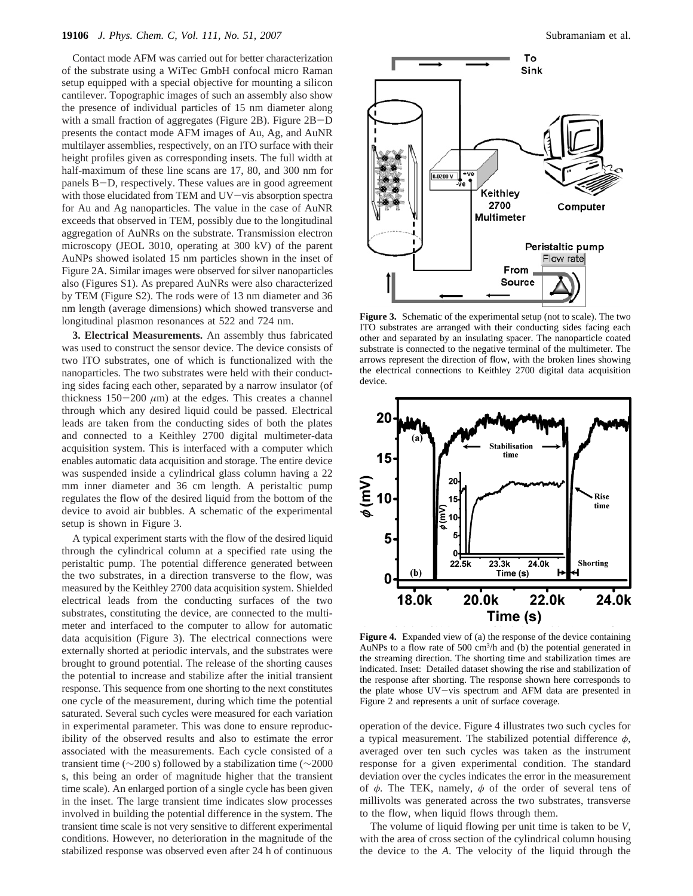Contact mode AFM was carried out for better characterization of the substrate using a WiTec GmbH confocal micro Raman setup equipped with a special objective for mounting a silicon cantilever. Topographic images of such an assembly also show the presence of individual particles of 15 nm diameter along with a small fraction of aggregates (Figure 2B). Figure 2B-D presents the contact mode AFM images of Au, Ag, and AuNR multilayer assemblies, respectively, on an ITO surface with their height profiles given as corresponding insets. The full width at half-maximum of these line scans are 17, 80, and 300 nm for panels B-D, respectively. These values are in good agreement with those elucidated from TEM and UV-vis absorption spectra for Au and Ag nanoparticles. The value in the case of AuNR exceeds that observed in TEM, possibly due to the longitudinal aggregation of AuNRs on the substrate. Transmission electron microscopy (JEOL 3010, operating at 300 kV) of the parent AuNPs showed isolated 15 nm particles shown in the inset of Figure 2A. Similar images were observed for silver nanoparticles also (Figures S1). As prepared AuNRs were also characterized by TEM (Figure S2). The rods were of 13 nm diameter and 36 nm length (average dimensions) which showed transverse and longitudinal plasmon resonances at 522 and 724 nm.

**3. Electrical Measurements.** An assembly thus fabricated was used to construct the sensor device. The device consists of two ITO substrates, one of which is functionalized with the nanoparticles. The two substrates were held with their conducting sides facing each other, separated by a narrow insulator (of thickness  $150-200 \ \mu m$ ) at the edges. This creates a channel through which any desired liquid could be passed. Electrical leads are taken from the conducting sides of both the plates and connected to a Keithley 2700 digital multimeter-data acquisition system. This is interfaced with a computer which enables automatic data acquisition and storage. The entire device was suspended inside a cylindrical glass column having a 22 mm inner diameter and 36 cm length. A peristaltic pump regulates the flow of the desired liquid from the bottom of the device to avoid air bubbles. A schematic of the experimental setup is shown in Figure 3.

A typical experiment starts with the flow of the desired liquid through the cylindrical column at a specified rate using the peristaltic pump. The potential difference generated between the two substrates, in a direction transverse to the flow, was measured by the Keithley 2700 data acquisition system. Shielded electrical leads from the conducting surfaces of the two substrates, constituting the device, are connected to the multimeter and interfaced to the computer to allow for automatic data acquisition (Figure 3). The electrical connections were externally shorted at periodic intervals, and the substrates were brought to ground potential. The release of the shorting causes the potential to increase and stabilize after the initial transient response. This sequence from one shorting to the next constitutes one cycle of the measurement, during which time the potential saturated. Several such cycles were measured for each variation in experimental parameter. This was done to ensure reproducibility of the observed results and also to estimate the error associated with the measurements. Each cycle consisted of a transient time (∼200 s) followed by a stabilization time (∼2000 s, this being an order of magnitude higher that the transient time scale). An enlarged portion of a single cycle has been given in the inset. The large transient time indicates slow processes involved in building the potential difference in the system. The transient time scale is not very sensitive to different experimental conditions. However, no deterioration in the magnitude of the stabilized response was observed even after 24 h of continuous



**Figure 3.** Schematic of the experimental setup (not to scale). The two ITO substrates are arranged with their conducting sides facing each other and separated by an insulating spacer. The nanoparticle coated substrate is connected to the negative terminal of the multimeter. The arrows represent the direction of flow, with the broken lines showing the electrical connections to Keithley 2700 digital data acquisition device.



Figure 4. Expanded view of (a) the response of the device containing AuNPs to a flow rate of  $500 \text{ cm}^3$ /h and (b) the potential generated in the streaming direction. The shorting time and stabilization times are indicated. Inset: Detailed dataset showing the rise and stabilization of the response after shorting. The response shown here corresponds to the plate whose UV-vis spectrum and AFM data are presented in Figure 2 and represents a unit of surface coverage.

operation of the device. Figure 4 illustrates two such cycles for a typical measurement. The stabilized potential difference *φ*, averaged over ten such cycles was taken as the instrument response for a given experimental condition. The standard deviation over the cycles indicates the error in the measurement of *φ*. The TEK, namely, *φ* of the order of several tens of millivolts was generated across the two substrates, transverse to the flow, when liquid flows through them.

The volume of liquid flowing per unit time is taken to be *V*, with the area of cross section of the cylindrical column housing the device to the *A*. The velocity of the liquid through the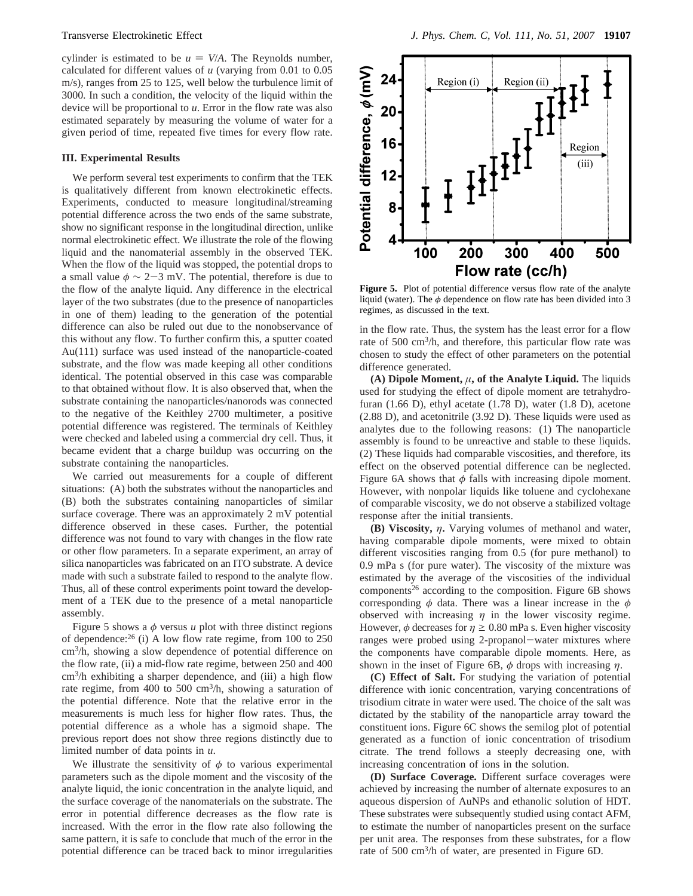cylinder is estimated to be  $u = V/A$ . The Reynolds number, calculated for different values of *u* (varying from 0.01 to 0.05 m/s), ranges from 25 to 125, well below the turbulence limit of 3000. In such a condition, the velocity of the liquid within the device will be proportional to *u*. Error in the flow rate was also estimated separately by measuring the volume of water for a given period of time, repeated five times for every flow rate.

### **III. Experimental Results**

We perform several test experiments to confirm that the TEK is qualitatively different from known electrokinetic effects. Experiments, conducted to measure longitudinal/streaming potential difference across the two ends of the same substrate, show no significant response in the longitudinal direction, unlike normal electrokinetic effect. We illustrate the role of the flowing liquid and the nanomaterial assembly in the observed TEK. When the flow of the liquid was stopped, the potential drops to a small value  $\phi \sim 2-3$  mV. The potential, therefore is due to the flow of the analyte liquid. Any difference in the electrical layer of the two substrates (due to the presence of nanoparticles in one of them) leading to the generation of the potential difference can also be ruled out due to the nonobservance of this without any flow. To further confirm this, a sputter coated Au(111) surface was used instead of the nanoparticle-coated substrate, and the flow was made keeping all other conditions identical. The potential observed in this case was comparable to that obtained without flow. It is also observed that, when the substrate containing the nanoparticles/nanorods was connected to the negative of the Keithley 2700 multimeter, a positive potential difference was registered. The terminals of Keithley were checked and labeled using a commercial dry cell. Thus, it became evident that a charge buildup was occurring on the substrate containing the nanoparticles.

We carried out measurements for a couple of different situations: (A) both the substrates without the nanoparticles and (B) both the substrates containing nanoparticles of similar surface coverage. There was an approximately 2 mV potential difference observed in these cases. Further, the potential difference was not found to vary with changes in the flow rate or other flow parameters. In a separate experiment, an array of silica nanoparticles was fabricated on an ITO substrate. A device made with such a substrate failed to respond to the analyte flow. Thus, all of these control experiments point toward the development of a TEK due to the presence of a metal nanoparticle assembly.

Figure 5 shows a  $\phi$  versus *u* plot with three distinct regions of dependence:<sup>26</sup> (i) A low flow rate regime, from 100 to 250 cm3/h, showing a slow dependence of potential difference on the flow rate, (ii) a mid-flow rate regime, between 250 and 400  $cm<sup>3</sup>/h$  exhibiting a sharper dependence, and (iii) a high flow rate regime, from 400 to 500 cm3/h, showing a saturation of the potential difference. Note that the relative error in the measurements is much less for higher flow rates. Thus, the potential difference as a whole has a sigmoid shape. The previous report does not show three regions distinctly due to limited number of data points in *u*.

We illustrate the sensitivity of  $\phi$  to various experimental parameters such as the dipole moment and the viscosity of the analyte liquid, the ionic concentration in the analyte liquid, and the surface coverage of the nanomaterials on the substrate. The error in potential difference decreases as the flow rate is increased. With the error in the flow rate also following the same pattern, it is safe to conclude that much of the error in the potential difference can be traced back to minor irregularities



Figure 5. Plot of potential difference versus flow rate of the analyte liquid (water). The *φ* dependence on flow rate has been divided into 3 regimes, as discussed in the text.

in the flow rate. Thus, the system has the least error for a flow rate of 500 cm<sup>3</sup>/h, and therefore, this particular flow rate was chosen to study the effect of other parameters on the potential difference generated.

**(A) Dipole Moment,** *µ***, of the Analyte Liquid.** The liquids used for studying the effect of dipole moment are tetrahydrofuran (1.66 D), ethyl acetate (1.78 D), water (1.8 D), acetone (2.88 D), and acetonitrile (3.92 D). These liquids were used as analytes due to the following reasons: (1) The nanoparticle assembly is found to be unreactive and stable to these liquids. (2) These liquids had comparable viscosities, and therefore, its effect on the observed potential difference can be neglected. Figure 6A shows that  $\phi$  falls with increasing dipole moment. However, with nonpolar liquids like toluene and cyclohexane of comparable viscosity, we do not observe a stabilized voltage response after the initial transients.

**(B) Viscosity,** *η***.** Varying volumes of methanol and water, having comparable dipole moments, were mixed to obtain different viscosities ranging from 0.5 (for pure methanol) to 0.9 mPa s (for pure water). The viscosity of the mixture was estimated by the average of the viscosities of the individual components<sup>26</sup> according to the composition. Figure  $6B$  shows corresponding *φ* data. There was a linear increase in the *φ* observed with increasing  $\eta$  in the lower viscosity regime. However,  $\phi$  decreases for  $\eta \ge 0.80$  mPa s. Even higher viscosity ranges were probed using 2-propanol-water mixtures where the components have comparable dipole moments. Here, as shown in the inset of Figure 6B, *φ* drops with increasing *η*.

**(C) Effect of Salt.** For studying the variation of potential difference with ionic concentration, varying concentrations of trisodium citrate in water were used. The choice of the salt was dictated by the stability of the nanoparticle array toward the constituent ions. Figure 6C shows the semilog plot of potential generated as a function of ionic concentration of trisodium citrate. The trend follows a steeply decreasing one, with increasing concentration of ions in the solution.

**(D) Surface Coverage.** Different surface coverages were achieved by increasing the number of alternate exposures to an aqueous dispersion of AuNPs and ethanolic solution of HDT. These substrates were subsequently studied using contact AFM, to estimate the number of nanoparticles present on the surface per unit area. The responses from these substrates, for a flow rate of 500 cm<sup>3</sup>/h of water, are presented in Figure 6D.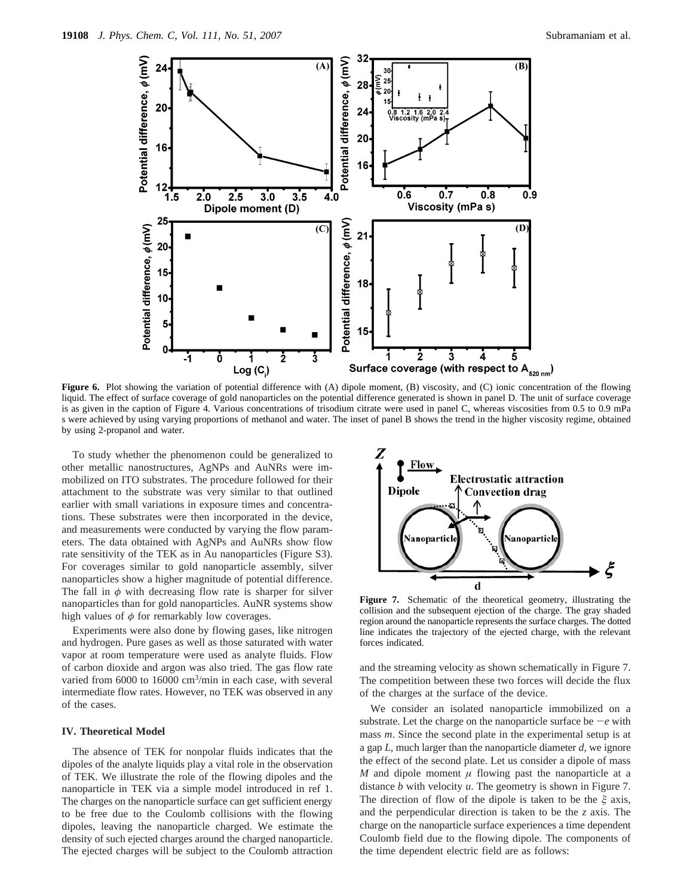

Figure 6. Plot showing the variation of potential difference with (A) dipole moment, (B) viscosity, and (C) ionic concentration of the flowing liquid. The effect of surface coverage of gold nanoparticles on the potential difference generated is shown in panel D. The unit of surface coverage is as given in the caption of Figure 4. Various concentrations of trisodium citrate were used in panel C, whereas viscosities from 0.5 to 0.9 mPa s were achieved by using varying proportions of methanol and water. The inset of panel B shows the trend in the higher viscosity regime, obtained by using 2-propanol and water.

To study whether the phenomenon could be generalized to other metallic nanostructures, AgNPs and AuNRs were immobilized on ITO substrates. The procedure followed for their attachment to the substrate was very similar to that outlined earlier with small variations in exposure times and concentrations. These substrates were then incorporated in the device, and measurements were conducted by varying the flow parameters. The data obtained with AgNPs and AuNRs show flow rate sensitivity of the TEK as in Au nanoparticles (Figure S3). For coverages similar to gold nanoparticle assembly, silver nanoparticles show a higher magnitude of potential difference. The fall in  $\phi$  with decreasing flow rate is sharper for silver nanoparticles than for gold nanoparticles. AuNR systems show high values of *φ* for remarkably low coverages.

Experiments were also done by flowing gases, like nitrogen and hydrogen. Pure gases as well as those saturated with water vapor at room temperature were used as analyte fluids. Flow of carbon dioxide and argon was also tried. The gas flow rate varied from 6000 to 16000 cm<sup>3</sup>/min in each case, with several intermediate flow rates. However, no TEK was observed in any of the cases.

#### **IV. Theoretical Model**

The absence of TEK for nonpolar fluids indicates that the dipoles of the analyte liquids play a vital role in the observation of TEK. We illustrate the role of the flowing dipoles and the nanoparticle in TEK via a simple model introduced in ref 1. The charges on the nanoparticle surface can get sufficient energy to be free due to the Coulomb collisions with the flowing dipoles, leaving the nanoparticle charged. We estimate the density of such ejected charges around the charged nanoparticle. The ejected charges will be subject to the Coulomb attraction



**Figure 7.** Schematic of the theoretical geometry, illustrating the collision and the subsequent ejection of the charge. The gray shaded region around the nanoparticle represents the surface charges. The dotted line indicates the trajectory of the ejected charge, with the relevant forces indicated.

and the streaming velocity as shown schematically in Figure 7. The competition between these two forces will decide the flux of the charges at the surface of the device.

We consider an isolated nanoparticle immobilized on a substrate. Let the charge on the nanoparticle surface be  $-e$  with mass *m*. Since the second plate in the experimental setup is at a gap *L*, much larger than the nanoparticle diameter *d*, we ignore the effect of the second plate. Let us consider a dipole of mass *M* and dipole moment  $\mu$  flowing past the nanoparticle at a distance *b* with velocity *u*. The geometry is shown in Figure 7. The direction of flow of the dipole is taken to be the *ê* axis, and the perpendicular direction is taken to be the *z* axis. The charge on the nanoparticle surface experiences a time dependent Coulomb field due to the flowing dipole. The components of the time dependent electric field are as follows: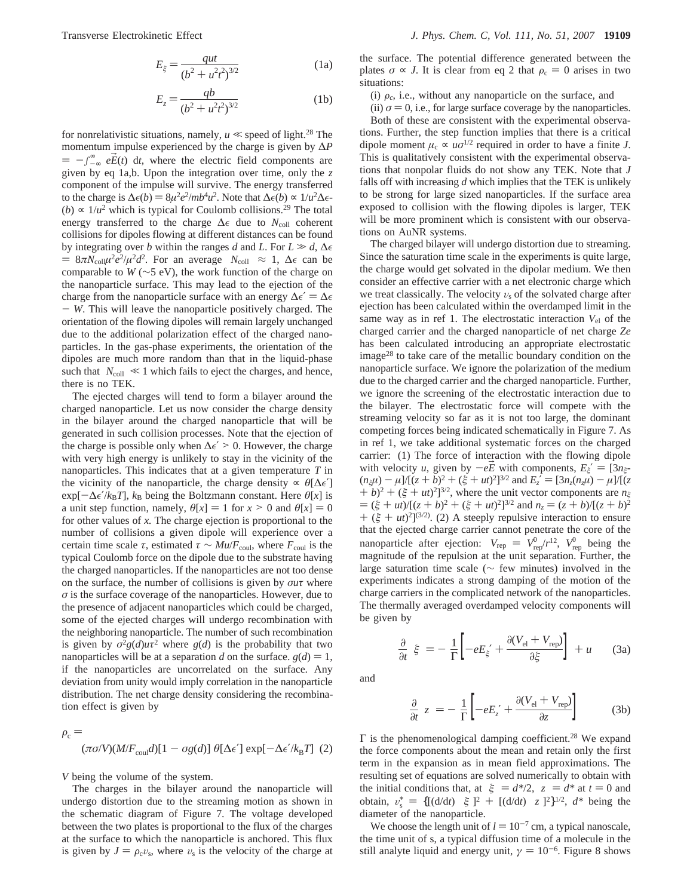$$
E_{\xi} = \frac{qut}{(b^2 + u^2 t^2)^{3/2}}
$$
 (1a)

$$
E_z = \frac{qb}{(b^2 + u^2 t^2)^{3/2}}
$$
 (1b)

for nonrelativistic situations, namely,  $u \ll$  speed of light.<sup>28</sup> The momentum impulse experienced by the charge is given by ∆*P*  $= -f_{-\infty}$  *eE*(*t*) at, where the electric field components are given by eq 1a,b. Upon the integration over time, only the *z*  $= -\int_{-\infty}^{\infty} eE(t) dt$ , where the electric field components are component of the impulse will survive. The energy transferred to the charge is  $\Delta \epsilon(b) = 8\mu^2 e^2/mb^4u^2$ . Note that  $\Delta \epsilon(b) \propto 1/u^2\Delta\epsilon$ -(*b*)  $\propto$  1/*u*<sup>2</sup> which is typical for Coulomb collisions.<sup>29</sup> The total energy transferred to the charge  $\Delta \epsilon$  due to *N*<sub>coll</sub> coherent collisions for dipoles flowing at different distances can be found by integrating over *b* within the ranges *d* and *L*. For  $L \gg d$ ,  $\Delta \epsilon$  $= 8πN<sub>coll</sub>μ<sup>2</sup>e<sup>2</sup>/μ<sup>2</sup>d<sup>2</sup>$ . For an average  $\langle N<sub>coll</sub> \rangle ≈ 1$ , ∆*∈* can be comparable to  $W$  ( $\sim$ 5 eV), the work function of the charge on the nanoparticle surface. This may lead to the ejection of the charge from the nanoparticle surface with an energy  $\Delta \epsilon' = \Delta \epsilon$ - *<sup>W</sup>*. This will leave the nanoparticle positively charged. The orientation of the flowing dipoles will remain largely unchanged due to the additional polarization effect of the charged nanoparticles. In the gas-phase experiments, the orientation of the dipoles are much more random than that in the liquid-phase such that  $\langle N_{\text{coll}} \rangle \ll 1$  which fails to eject the charges, and hence, there is no TEK.

The ejected charges will tend to form a bilayer around the charged nanoparticle. Let us now consider the charge density in the bilayer around the charged nanoparticle that will be generated in such collision processes. Note that the ejection of the charge is possible only when  $\Delta \epsilon' \geq 0$ . However, the charge with very high energy is unlikely to stay in the vicinity of the nanoparticles. This indicates that at a given temperature *T* in the vicinity of the nanoparticle, the charge density  $\propto \theta[\Delta \epsilon']$  $\exp[-\Delta\epsilon'/k_BT]$ ,  $k_B$  being the Boltzmann constant. Here  $\theta[x]$  is a unit step function, namely,  $\theta[x] = 1$  for  $x > 0$  and  $\theta[x] = 0$ for other values of *x.* The charge ejection is proportional to the number of collisions a given dipole will experience over a certain time scale  $\tau$ , estimated  $\tau \sim M u / F_{\text{coul}}$ , where  $F_{\text{coul}}$  is the typical Coulomb force on the dipole due to the substrate having the charged nanoparticles. If the nanoparticles are not too dense on the surface, the number of collisions is given by  $\sigma u\tau$  where  $\sigma$  is the surface coverage of the nanoparticles. However, due to the presence of adjacent nanoparticles which could be charged, some of the ejected charges will undergo recombination with the neighboring nanoparticle. The number of such recombination is given by  $\sigma^2 g(d) u \tau^2$  where  $g(d)$  is the probability that two nanoparticles will be at a separation *d* on the surface.  $g(d) = 1$ , if the nanoparticles are uncorrelated on the surface. Any deviation from unity would imply correlation in the nanoparticle distribution. The net charge density considering the recombination effect is given by

$$
\rho_{\rm c} = \left(\frac{\pi \sigma}{V}(M/F_{\rm coul}d)[1 - \sigma g(d)] \theta[\Delta \epsilon'] \exp[-\Delta \epsilon'/k_{\rm B}T] \tag{2}
$$

*V* being the volume of the system.

The charges in the bilayer around the nanoparticle will undergo distortion due to the streaming motion as shown in the schematic diagram of Figure 7. The voltage developed between the two plates is proportional to the flux of the charges at the surface to which the nanoparticle is anchored. This flux is given by  $J = \rho_c v_s$ , where  $v_s$  is the velocity of the charge at the surface. The potential difference generated between the plates  $\sigma \propto J$ . It is clear from eq 2 that  $\rho_c = 0$  arises in two situations:

(i)  $\rho_c$ , i.e., without any nanoparticle on the surface, and

(ii)  $\sigma = 0$ , i.e., for large surface coverage by the nanoparticles.

Both of these are consistent with the experimental observations. Further, the step function implies that there is a critical dipole moment  $\mu_c \propto u\sigma^{1/2}$  required in order to have a finite *J*. This is qualitatively consistent with the experimental observations that nonpolar fluids do not show any TEK. Note that *J* falls off with increasing *d* which implies that the TEK is unlikely to be strong for large sized nanoparticles. If the surface area exposed to collision with the flowing dipoles is larger, TEK will be more prominent which is consistent with our observations on AuNR systems.

The charged bilayer will undergo distortion due to streaming. Since the saturation time scale in the experiments is quite large, the charge would get solvated in the dipolar medium. We then consider an effective carrier with a net electronic charge which we treat classically. The velocity  $v<sub>s</sub>$  of the solvated charge after ejection has been calculated within the overdamped limit in the same way as in ref 1. The electrostatic interaction  $V_{el}$  of the charged carrier and the charged nanoparticle of net charge *Ze* has been calculated introducing an appropriate electrostatic image28 to take care of the metallic boundary condition on the nanoparticle surface. We ignore the polarization of the medium due to the charged carrier and the charged nanoparticle. Further, we ignore the screening of the electrostatic interaction due to the bilayer. The electrostatic force will compete with the streaming velocity so far as it is not too large, the dominant competing forces being indicated schematically in Figure 7. As in ref 1, we take additional systematic forces on the charged carrier: (1) The force of interaction with the flowing dipole with velocity *u*, given by  $-eE$  with components,  $E_{\xi}^{\prime} = [3n_{\xi}$ - $(n_{\xi}\mu) - \mu$ / $[(z + b)^2 + (\xi + ut)^2]^{3/2}$  and  $E'_z = [3n_z(n_z\mu) - \mu] / [(z + b)^2 + (\xi + ut)^2]^{3/2}$  $(+\ b)^2 + (\xi + ut)^2$ <sup>3/2</sup>, where the unit vector components are  $n_{\xi}$  $= (\xi + ut)/[(z + b)^2 + (\xi + ut)^2]^{3/2}$  and  $n_z = (z + b)/[(z + b)^2]^{3/2}$  $+$  ( $\xi$  + *ut*)<sup>2</sup>]<sup>(3/2)</sup>. (2) A steeply repulsive interaction to ensure that the ejected charge carrier cannot penetrate the core of the nanoparticle after ejection:  $V_{\text{rep}} = V_{\text{rep}}^0 / r^{12}$ ,  $V_{\text{rep}}^0$  being the magnitude of the repulsion at the unit separation Further the magnitude of the repulsion at the unit separation. Further, the large saturation time scale (∼ few minutes) involved in the experiments indicates a strong damping of the motion of the charge carriers in the complicated network of the nanoparticles. The thermally averaged overdamped velocity components will be given by

$$
\frac{\partial}{\partial t}\langle \xi \rangle = -\left\langle \frac{1}{\Gamma} \left[ -eE_{\xi}' + \frac{\partial (V_{\rm el} + V_{\rm rep})}{\partial \xi} \right] \right\rangle + u \qquad (3a)
$$

and

$$
\frac{\partial}{\partial t}\langle z \rangle = -\left\langle \frac{1}{\Gamma} \left[ -eE_z' + \frac{\partial (V_{\rm el} + V_{\rm rep})}{\partial z} \right] \right\rangle \tag{3b}
$$

 $Γ$  is the phenomenological damping coefficient.<sup>28</sup> We expand the force components about the mean and retain only the first term in the expansion as in mean field approximations. The resulting set of equations are solved numerically to obtain with the initial conditions that, at  $\langle \xi \rangle = d^*/2$ ,  $\langle z \rangle = d^*$  at  $t = 0$  and obtain,  $v_s^* = \{ [ (d/dt) \langle \xi \rangle]^2 + [ (d/dt) \langle \xi \rangle]^2 \}^{1/2}$ ,  $d^*$  being the diameter of the nanoparticle diameter of the nanoparticle.

We choose the length unit of  $l = 10^{-7}$  cm, a typical nanoscale, the time unit of s, a typical diffusion time of a molecule in the still analyte liquid and energy unit,  $\gamma = 10^{-6}$ . Figure 8 shows